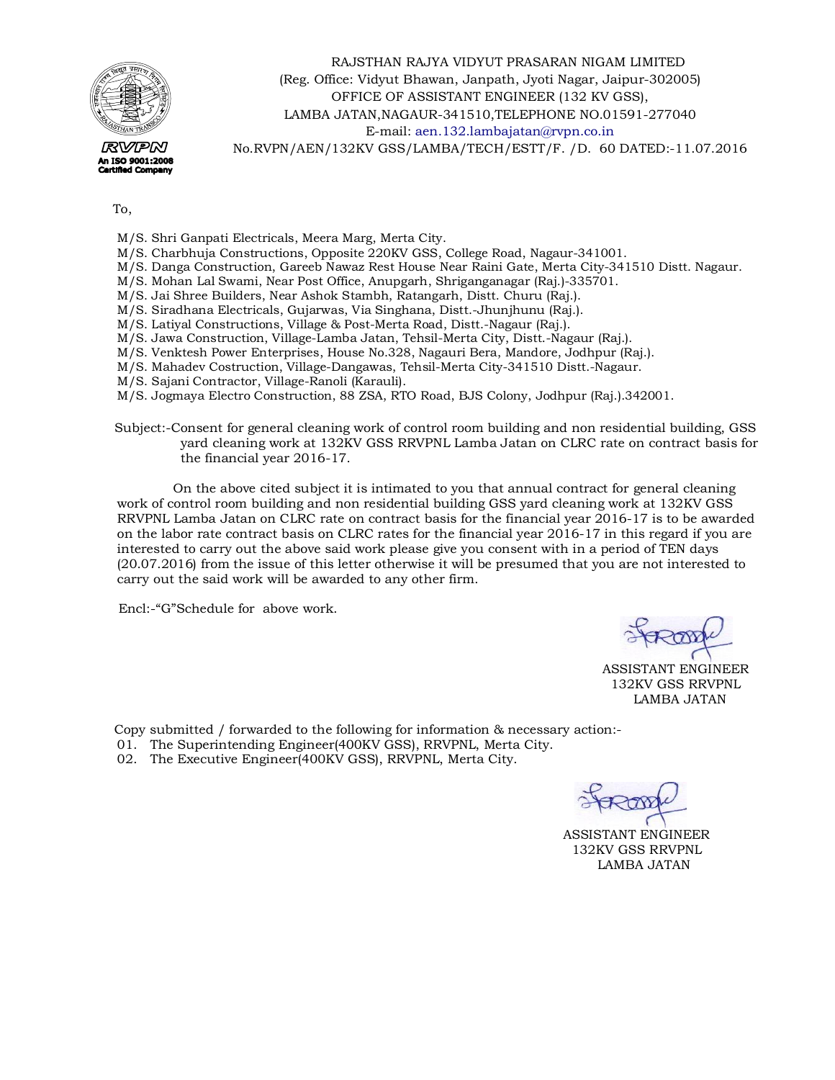

 RAJSTHAN RAJYA VIDYUT PRASARAN NIGAM LIMITED (Reg. Office: Vidyut Bhawan, Janpath, Jyoti Nagar, Jaipur-302005) OFFICE OF ASSISTANT ENGINEER (132 KV GSS), LAMBA JATAN,NAGAUR-341510,TELEPHONE NO.01591-277040 E-mai[l: aen.132.lambajatan@rvpn.co.in](mailto:aen.132.lambajatan@rvpn.co.in)  No.RVPN/AEN/132KV GSS/LAMBA/TECH/ESTT/F. /D. 60 DATED:-11.07.2016

To,

M/S. Shri Ganpati Electricals, Meera Marg, Merta City.

- M/S. Charbhuja Constructions, Opposite 220KV GSS, College Road, Nagaur-341001.
- M/S. Danga Construction, Gareeb Nawaz Rest House Near Raini Gate, Merta City-341510 Distt. Nagaur.
- M/S. Mohan Lal Swami, Near Post Office, Anupgarh, Shriganganagar (Raj.)-335701.
- M/S. Jai Shree Builders, Near Ashok Stambh, Ratangarh, Distt. Churu (Raj.).
- M/S. Siradhana Electricals, Gujarwas, Via Singhana, Distt.-Jhunjhunu (Raj.).
- M/S. Latiyal Constructions, Village & Post-Merta Road, Distt.-Nagaur (Raj.).
- M/S. Jawa Construction, Village-Lamba Jatan, Tehsil-Merta City, Distt.-Nagaur (Raj.).
- M/S. Venktesh Power Enterprises, House No.328, Nagauri Bera, Mandore, Jodhpur (Raj.).
- M/S. Mahadev Costruction, Village-Dangawas, Tehsil-Merta City-341510 Distt.-Nagaur.
- M/S. Sajani Contractor, Village-Ranoli (Karauli).

M/S. Jogmaya Electro Construction, 88 ZSA, RTO Road, BJS Colony, Jodhpur (Raj.).342001.

 Subject:-Consent for general cleaning work of control room building and non residential building, GSS yard cleaning work at 132KV GSS RRVPNL Lamba Jatan on CLRC rate on contract basis for the financial year 2016-17.

 On the above cited subject it is intimated to you that annual contract for general cleaning work of control room building and non residential building GSS yard cleaning work at 132KV GSS RRVPNL Lamba Jatan on CLRC rate on contract basis for the financial year 2016-17 is to be awarded on the labor rate contract basis on CLRC rates for the financial year 2016-17 in this regard if you are interested to carry out the above said work please give you consent with in a period of TEN days (20.07.2016) from the issue of this letter otherwise it will be presumed that you are not interested to carry out the said work will be awarded to any other firm.

Encl:-"G"Schedule for above work.

ASSISTANT ENGINEER 132KV GSS RRVPNL LAMBA JATAN

Copy submitted / forwarded to the following for information & necessary action:-

- 01. The Superintending Engineer(400KV GSS), RRVPNL, Merta City.
- 02. The Executive Engineer(400KV GSS), RRVPNL, Merta City.

 ASSISTANT ENGINEER 132KV GSS RRVPNL LAMBA JATAN